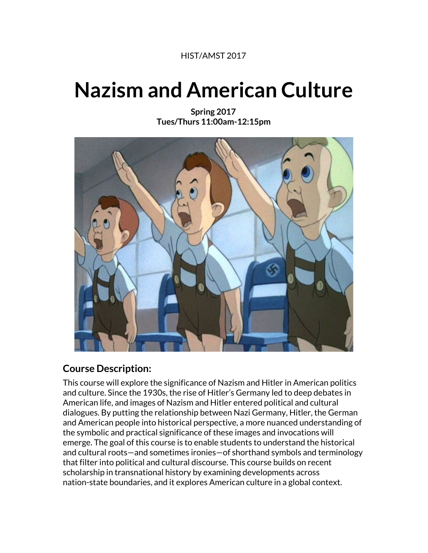#### HIST/AMST 2017

# **Nazism and American Culture**

**Spring 2017 Tues/Thurs 11:00am-12:15pm**



## **Course Description:**

This course will explore the significance of Nazism and Hitler in American politics and culture. Since the 1930s, the rise of Hitler's Germany led to deep debates in American life, and images of Nazism and Hitler entered political and cultural dialogues. By putting the relationship between Nazi Germany, Hitler, the German and American people into historical perspective, a more nuanced understanding of the symbolic and practical significance of these images and invocations will emerge. The goal of this course is to enable students to understand the historical and cultural roots—and sometimes ironies—of shorthand symbols and terminology that filter into political and cultural discourse. This course builds on recent scholarship in transnational history by examining developments across nation-state boundaries, and it explores American culture in a global context.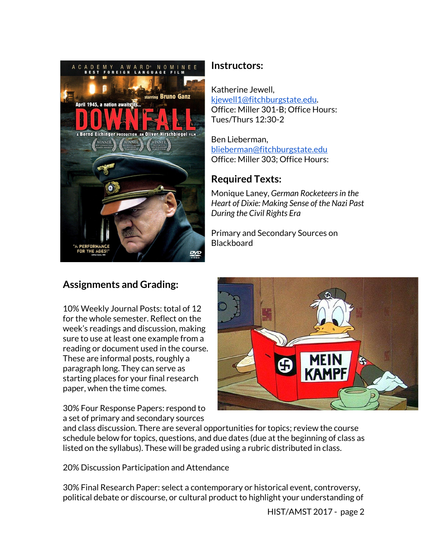

#### **Instructors:**

Katherine Jewell, [kjewell1@fitchburgstate.edu.](mailto:kjewell1@fitchburgstate.edu) Office: Miller 301-B; Office Hours: Tues/Thurs 12:30-2

Ben Lieberman, [blieberman@fitchburgstate.edu](mailto:blieberman@fitchburgstate.edu) Office: Miller 303; Office Hours:

# **Required Texts:**

Monique Laney, *German Rocketeersin the Heart of Dixie: Making Sense of the Nazi Past During the Civil Rights Era*

Primary and Secondary Sources on Blackboard

## **Assignments and Grading:**

10% Weekly Journal Posts: total of 12 for the whole semester. Reflect on the week's readings and discussion, making sure to use at least one example from a reading or document used in the course. These are informal posts, roughly a paragraph long. They can serve as starting places for your final research paper, when the time comes.

30% Four Response Papers: respond to a set of primary and secondary sources



and class discussion. There are several opportunities for topics; review the course schedule below for topics, questions, and due dates (due at the beginning of class as listed on the syllabus). These will be graded using a rubric distributed in class.

20% Discussion Participation and Attendance

30% Final Research Paper: select a contemporary or historical event, controversy, political debate or discourse, or cultural product to highlight your understanding of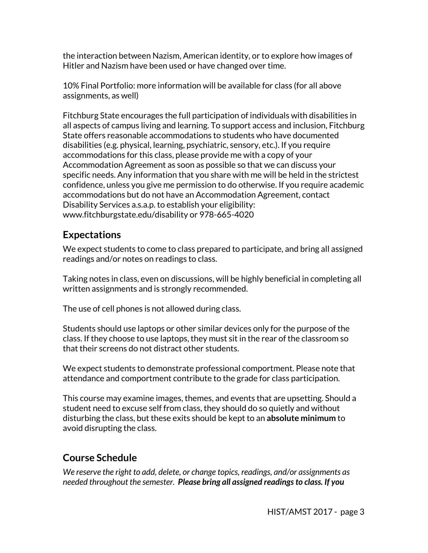the interaction between Nazism, American identity, or to explore how images of Hitler and Nazism have been used or have changed over time.

10% Final Portfolio: more information will be available for class (for all above assignments, as well)

Fitchburg State encourages the full participation of individuals with disabilities in all aspects of campus living and learning. To support access and inclusion, Fitchburg State offers reasonable accommodations to students who have documented disabilities (e.g. physical, learning, psychiatric, sensory, etc.). If you require accommodations for this class, please provide me with a copy of your Accommodation Agreement as soon as possible so that we can discuss your specific needs. Any information that you share with me will be held in the strictest confidence, unless you give me permission to do otherwise. If you require academic accommodations but do not have an Accommodation Agreement, contact Disability Services a.s.a.p. to establish your eligibility: www.fitchburgstate.edu/disability or 978-665-4020

# **Expectations**

We expect students to come to class prepared to participate, and bring all assigned readings and/or notes on readings to class.

Taking notes in class, even on discussions, will be highly beneficial in completing all written assignments and is strongly recommended.

The use of cell phones is not allowed during class.

Students should use laptops or other similar devices only for the purpose of the class. If they choose to use laptops, they must sit in the rear of the classroom so that their screens do not distract other students.

We expect students to demonstrate professional comportment. Please note that attendance and comportment contribute to the grade for class participation.

This course may examine images, themes, and events that are upsetting. Should a student need to excuse self from class, they should do so quietly and without disturbing the class, but these exits should be kept to an **absolute minimum** to avoid disrupting the class.

## **Course Schedule**

*We reserve the right to add, delete, or change topics, readings, and/or assignments as needed throughout the semester. Please bring all assigned readingsto class. If you*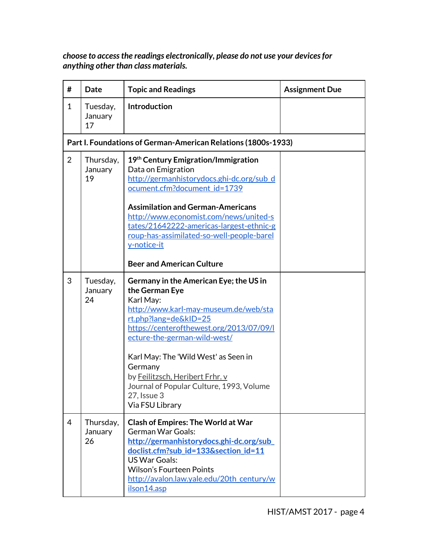*choose to access the readings electronically, please do not use your devicesfor anything other than class materials.*

| #              | <b>Date</b>                | <b>Topic and Readings</b>                                                                                                                                                                                                                                                                                                                                                                  | <b>Assignment Due</b> |
|----------------|----------------------------|--------------------------------------------------------------------------------------------------------------------------------------------------------------------------------------------------------------------------------------------------------------------------------------------------------------------------------------------------------------------------------------------|-----------------------|
| 1              | Tuesday,<br>January<br>17  | <b>Introduction</b>                                                                                                                                                                                                                                                                                                                                                                        |                       |
|                |                            | Part I. Foundations of German-American Relations (1800s-1933)                                                                                                                                                                                                                                                                                                                              |                       |
| $\overline{2}$ | Thursday,<br>January<br>19 | 19th Century Emigration/Immigration<br>Data on Emigration<br>http://germanhistorydocs.ghi-dc.org/sub_d<br>ocument.cfm?document_id=1739                                                                                                                                                                                                                                                     |                       |
|                |                            | <b>Assimilation and German-Americans</b><br>http://www.economist.com/news/united-s<br>tates/21642222-americas-largest-ethnic-g<br>roup-has-assimilated-so-well-people-barel<br>y-notice-it                                                                                                                                                                                                 |                       |
|                |                            | <b>Beer and American Culture</b>                                                                                                                                                                                                                                                                                                                                                           |                       |
| 3              | Tuesday,<br>January<br>24  | Germany in the American Eye; the US in<br>the German Eye<br>Karl May:<br>http://www.karl-may-museum.de/web/sta<br>$rt.php?$ lang=de&kID=25<br>https://centerofthewest.org/2013/07/09/l<br>ecture-the-german-wild-west/<br>Karl May: The 'Wild West' as Seen in<br>Germany<br>by Feilitzsch, Heribert Frhr. v<br>Journal of Popular Culture, 1993, Volume<br>27, Issue 3<br>Via FSU Library |                       |
| $\overline{4}$ | Thursday,<br>January<br>26 | <b>Clash of Empires: The World at War</b><br><b>German War Goals:</b><br>http://germanhistorydocs.ghi-dc.org/sub<br>doclist.cfm?sub_id=133&section_id=11<br><b>US War Goals:</b><br><b>Wilson's Fourteen Points</b><br>http://avalon.law.yale.edu/20th century/w<br>ilson14.asp                                                                                                            |                       |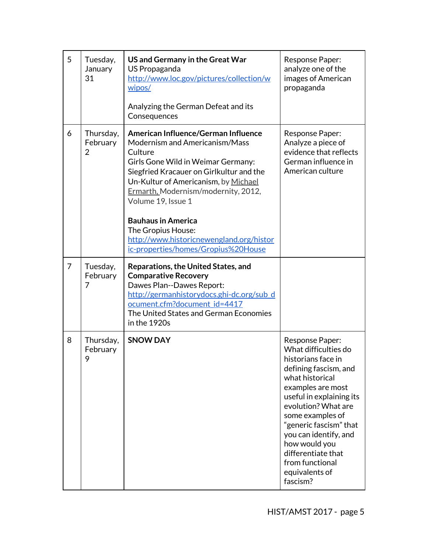| 5              | Tuesday,<br>January<br>31  | US and Germany in the Great War<br>US Propaganda<br>http://www.loc.gov/pictures/collection/w<br>wipos/<br>Analyzing the German Defeat and its<br>Consequences                                                                                                                                                                                                          | Response Paper:<br>analyze one of the<br>images of American<br>propaganda                                                                                                                                                                                                                                                                        |
|----------------|----------------------------|------------------------------------------------------------------------------------------------------------------------------------------------------------------------------------------------------------------------------------------------------------------------------------------------------------------------------------------------------------------------|--------------------------------------------------------------------------------------------------------------------------------------------------------------------------------------------------------------------------------------------------------------------------------------------------------------------------------------------------|
| 6              | Thursday,<br>February<br>2 | American Influence/German Influence<br>Modernism and Americanism/Mass<br>Culture<br>Girls Gone Wild in Weimar Germany:<br>Siegfried Kracauer on Girlkultur and the<br>Un-Kultur of Americanism, by Michael<br>Ermarth, Modernism/modernity, 2012,<br>Volume 19, Issue 1<br><b>Bauhaus in America</b><br>The Gropius House:<br>http://www.historicnewengland.org/histor | Response Paper:<br>Analyze a piece of<br>evidence that reflects<br>German influence in<br>American culture                                                                                                                                                                                                                                       |
| $\overline{7}$ | Tuesday,<br>February<br>7  | ic-properties/homes/Gropius%20House<br><b>Reparations, the United States, and</b><br><b>Comparative Recovery</b><br>Dawes Plan--Dawes Report:<br>http://germanhistorydocs.ghi-dc.org/sub_d<br>ocument.cfm?document id=4417<br>The United States and German Economies<br>in the 1920s                                                                                   |                                                                                                                                                                                                                                                                                                                                                  |
| 8              | Thursday,<br>February<br>9 | <b>SNOW DAY</b>                                                                                                                                                                                                                                                                                                                                                        | Response Paper:<br>What difficulties do<br>historians face in<br>defining fascism, and<br>what historical<br>examples are most<br>useful in explaining its<br>evolution? What are<br>some examples of<br>"generic fascism" that<br>you can identify, and<br>how would you<br>differentiate that<br>from functional<br>equivalents of<br>fascism? |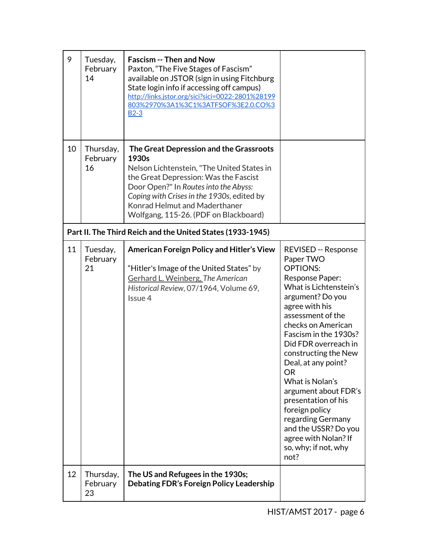| 9  | Tuesday,<br>February<br>14                                 | <b>Fascism -- Then and Now</b><br>Paxton, "The Five Stages of Fascism"<br>available on JSTOR (sign in using Fitchburg<br>State login info if accessing off campus)<br>http://links.jstor.org/sici?sici=0022-2801%28199<br>803%2970%3A1%3C1%3ATFSOF%3E2.0.CO%3<br>$B2-3$                                  |                                                                                                                                                                                                                                                                                                                                                                                                                                                                                                |  |
|----|------------------------------------------------------------|----------------------------------------------------------------------------------------------------------------------------------------------------------------------------------------------------------------------------------------------------------------------------------------------------------|------------------------------------------------------------------------------------------------------------------------------------------------------------------------------------------------------------------------------------------------------------------------------------------------------------------------------------------------------------------------------------------------------------------------------------------------------------------------------------------------|--|
| 10 | Thursday,<br>February<br>16                                | The Great Depression and the Grassroots<br>1930s<br>Nelson Lichtenstein, "The United States in<br>the Great Depression: Was the Fascist<br>Door Open?" In Routes into the Abyss:<br>Coping with Crises in the 1930s, edited by<br>Konrad Helmut and Maderthaner<br>Wolfgang, 115-26. (PDF on Blackboard) |                                                                                                                                                                                                                                                                                                                                                                                                                                                                                                |  |
|    | Part II. The Third Reich and the United States (1933-1945) |                                                                                                                                                                                                                                                                                                          |                                                                                                                                                                                                                                                                                                                                                                                                                                                                                                |  |
| 11 | Tuesday,<br>February<br>21                                 | <b>American Foreign Policy and Hitler's View</b><br>"Hitler's Image of the United States" by<br>Gerhard L. Weinberg, The American<br>Historical Review, 07/1964, Volume 69,<br>Issue 4                                                                                                                   | <b>REVISED -- Response</b><br>Paper TWO<br><b>OPTIONS:</b><br>Response Paper:<br>What is Lichtenstein's<br>argument? Do you<br>agree with his<br>assessment of the<br>checks on American<br>Fascism in the 1930s?<br>Did FDR overreach in<br>constructing the New<br>Deal, at any point?<br><b>OR</b><br>What is Nolan's<br>argument about FDR's<br>presentation of his<br>foreign policy<br>regarding Germany<br>and the USSR? Do you<br>agree with Nolan? If<br>so, why; if not, why<br>not? |  |
| 12 | Thursday,<br>February<br>23                                | The US and Refugees in the 1930s;<br>Debating FDR's Foreign Policy Leadership                                                                                                                                                                                                                            |                                                                                                                                                                                                                                                                                                                                                                                                                                                                                                |  |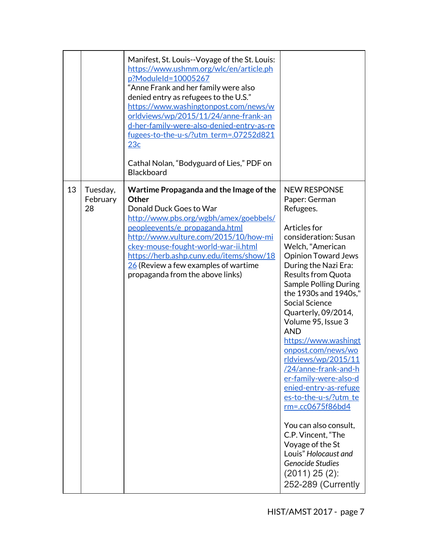|    |                            | Manifest, St. Louis--Voyage of the St. Louis:<br>https://www.ushmm.org/wlc/en/article.ph<br>p?ModuleId=10005267<br>"Anne Frank and her family were also<br>denied entry as refugees to the U.S."<br>https://www.washingtonpost.com/news/w<br>orldviews/wp/2015/11/24/anne-frank-an<br>d-her-family-were-also-denied-entry-as-re<br>fugees-to-the-u-s/?utm_term=.07252d821<br>23c<br>Cathal Nolan, "Bodyguard of Lies," PDF on<br><b>Blackboard</b> |                                                                                                                                                                                                                                                                                                                                                                                                                                                                                                                                                                                                                                                                                                         |
|----|----------------------------|----------------------------------------------------------------------------------------------------------------------------------------------------------------------------------------------------------------------------------------------------------------------------------------------------------------------------------------------------------------------------------------------------------------------------------------------------|---------------------------------------------------------------------------------------------------------------------------------------------------------------------------------------------------------------------------------------------------------------------------------------------------------------------------------------------------------------------------------------------------------------------------------------------------------------------------------------------------------------------------------------------------------------------------------------------------------------------------------------------------------------------------------------------------------|
| 13 | Tuesday,<br>February<br>28 | Wartime Propaganda and the Image of the<br><b>Other</b><br>Donald Duck Goes to War<br>http://www.pbs.org/wgbh/amex/goebbels/<br>peopleevents/e propaganda.html<br>http://www.vulture.com/2015/10/how-mi<br>ckey-mouse-fought-world-war-ii.html<br>https://herb.ashp.cuny.edu/items/show/18<br>$26$ (Review a few examples of wartime<br>propaganda from the above links)                                                                           | <b>NEW RESPONSE</b><br>Paper: German<br>Refugees.<br>Articles for<br>consideration: Susan<br>Welch, "American<br><b>Opinion Toward Jews</b><br>During the Nazi Era:<br><b>Results from Quota</b><br><b>Sample Polling During</b><br>the 1930s and 1940s,"<br><b>Social Science</b><br>Quarterly, 09/2014,<br>Volume 95, Issue 3<br><b>AND</b><br>https://www.washingt<br>onpost.com/news/wo<br>rldviews/wp/2015/11<br>/24/anne-frank-and-h<br>er-family-were-also-d<br>enied-entry-as-refuge<br>es-to-the-u-s/?utm te<br>$rm=.cc0675f86bd4$<br>You can also consult,<br>C.P. Vincent, "The<br>Voyage of the St<br>Louis" Holocaust and<br>Genocide Studies<br>$(2011)$ 25 $(2)$ :<br>252-289 (Currently |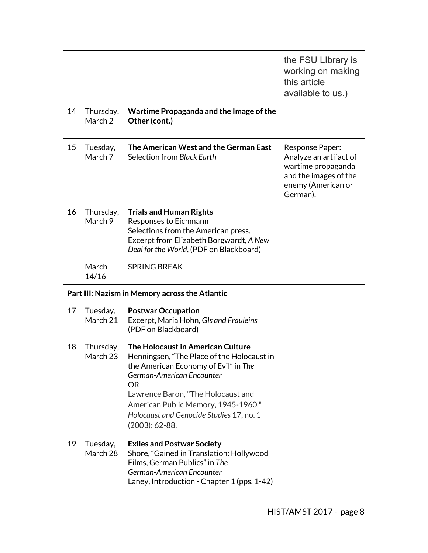|    |                                                |                                                                                                                                                                                                                                                                                                                | the FSU Library is<br>working on making<br>this article<br>available to us.)                                               |  |
|----|------------------------------------------------|----------------------------------------------------------------------------------------------------------------------------------------------------------------------------------------------------------------------------------------------------------------------------------------------------------------|----------------------------------------------------------------------------------------------------------------------------|--|
| 14 | Thursday,<br>March 2                           | Wartime Propaganda and the Image of the<br>Other (cont.)                                                                                                                                                                                                                                                       |                                                                                                                            |  |
| 15 | Tuesday,<br>March 7                            | The American West and the German East<br>Selection from Black Earth                                                                                                                                                                                                                                            | Response Paper:<br>Analyze an artifact of<br>wartime propaganda<br>and the images of the<br>enemy (American or<br>German). |  |
| 16 | Thursday,<br>March 9                           | <b>Trials and Human Rights</b><br>Responses to Eichmann<br>Selections from the American press.<br>Excerpt from Elizabeth Borgwardt, A New<br>Deal for the World, (PDF on Blackboard)                                                                                                                           |                                                                                                                            |  |
|    | March<br>14/16                                 | <b>SPRING BREAK</b>                                                                                                                                                                                                                                                                                            |                                                                                                                            |  |
|    | Part III: Nazism in Memory across the Atlantic |                                                                                                                                                                                                                                                                                                                |                                                                                                                            |  |
| 17 | Tuesday,<br>March 21                           | <b>Postwar Occupation</b><br>Excerpt, Maria Hohn, GIs and Frauleins<br>(PDF on Blackboard)                                                                                                                                                                                                                     |                                                                                                                            |  |
| 18 | Thursday,<br>March 23                          | The Holocaust in American Culture<br>Henningsen, "The Place of the Holocaust in<br>the American Economy of Evil" in The<br>German-American Encounter<br><b>OR</b><br>Lawrence Baron, "The Holocaust and<br>American Public Memory, 1945-1960."<br>Holocaust and Genocide Studies 17, no. 1<br>$(2003): 62-88.$ |                                                                                                                            |  |
| 19 | Tuesday,<br>March 28                           | <b>Exiles and Postwar Society</b><br>Shore, "Gained in Translation: Hollywood<br>Films, German Publics" in The<br>German-American Encounter<br>Laney, Introduction - Chapter 1 (pps. 1-42)                                                                                                                     |                                                                                                                            |  |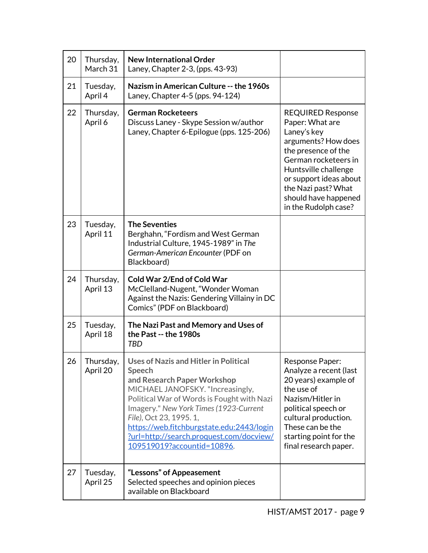| 20 | Thursday,<br>March 31 | <b>New International Order</b><br>Laney, Chapter 2-3, (pps. 43-93)                                                                                                                                                                                                                                                                                                  |                                                                                                                                                                                                                                                           |
|----|-----------------------|---------------------------------------------------------------------------------------------------------------------------------------------------------------------------------------------------------------------------------------------------------------------------------------------------------------------------------------------------------------------|-----------------------------------------------------------------------------------------------------------------------------------------------------------------------------------------------------------------------------------------------------------|
| 21 | Tuesday,<br>April 4   | Nazism in American Culture -- the 1960s<br>Laney, Chapter 4-5 (pps. 94-124)                                                                                                                                                                                                                                                                                         |                                                                                                                                                                                                                                                           |
| 22 | Thursday,<br>April 6  | <b>German Rocketeers</b><br>Discuss Laney - Skype Session w/author<br>Laney, Chapter 6-Epilogue (pps. 125-206)                                                                                                                                                                                                                                                      | <b>REQUIRED Response</b><br>Paper: What are<br>Laney's key<br>arguments? How does<br>the presence of the<br>German rocketeers in<br>Huntsville challenge<br>or support ideas about<br>the Nazi past? What<br>should have happened<br>in the Rudolph case? |
| 23 | Tuesday,<br>April 11  | <b>The Seventies</b><br>Berghahn, "Fordism and West German<br>Industrial Culture, 1945-1989" in The<br>German-American Encounter (PDF on<br>Blackboard)                                                                                                                                                                                                             |                                                                                                                                                                                                                                                           |
| 24 | Thursday,<br>April 13 | <b>Cold War 2/End of Cold War</b><br>McClelland-Nugent, "Wonder Woman<br>Against the Nazis: Gendering Villainy in DC<br>Comics" (PDF on Blackboard)                                                                                                                                                                                                                 |                                                                                                                                                                                                                                                           |
| 25 | Tuesday,<br>April 18  | The Nazi Past and Memory and Uses of<br>the Past -- the 1980s<br><b>TBD</b>                                                                                                                                                                                                                                                                                         |                                                                                                                                                                                                                                                           |
| 26 | Thursday,<br>April 20 | Uses of Nazis and Hitler in Political<br><b>Speech</b><br>and Research Paper Workshop<br>MICHAEL JANOFSKY. "Increasingly,<br>Political War of Words is Fought with Nazi<br>Imagery." New York Times (1923-Current<br>File), Oct 23, 1995. 1,<br>https://web.fitchburgstate.edu:2443/login<br>?url=http://search.proquest.com/docview/<br>109519019?accountid=10896. | <b>Response Paper:</b><br>Analyze a recent (last<br>20 years) example of<br>the use of<br>Nazism/Hitler in<br>political speech or<br>cultural production.<br>These can be the<br>starting point for the<br>final research paper.                          |
| 27 | Tuesday,<br>April 25  | "Lessons" of Appeasement<br>Selected speeches and opinion pieces<br>available on Blackboard                                                                                                                                                                                                                                                                         |                                                                                                                                                                                                                                                           |